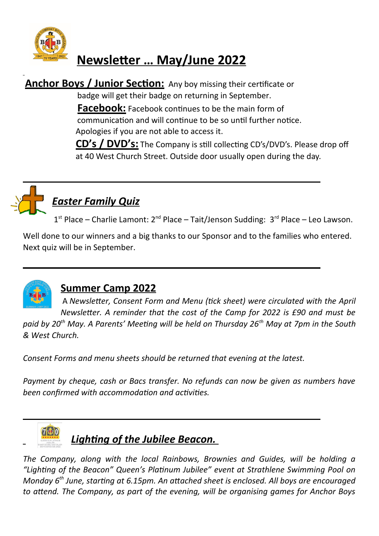

# **Newsletter … May/June 2022**

**Anchor Boys / Junior Section:** Any boy missing their certificate or badge will get their badge on returning in September.

**Facebook:** Facebook continues to be the main form of communication and will continue to be so until further notice.

Apologies if you are not able to access it.

 **CD's / DVD's:** The Company is still collecting CD's/DVD's. Please drop off at 40 West Church Street. Outside door usually open during the day.



# *Easter Family Quiz*

1<sup>st</sup> Place – Charlie Lamont: 2<sup>nd</sup> Place – Tait/Jenson Sudding: 3<sup>rd</sup> Place – Leo Lawson.

Well done to our winners and a big thanks to our Sponsor and to the families who entered. Next quiz will be in September.

**\_\_\_\_\_\_\_\_\_\_\_\_\_\_\_\_\_\_\_\_\_\_\_\_\_\_\_\_\_\_\_\_\_\_\_\_\_\_\_\_\_\_\_\_\_\_\_\_\_\_\_\_\_\_\_\_\_\_\_\_\_\_\_\_\_\_\_**



# **Summer Camp 2022**

A *Newsletter, Consent Form and Menu (tick sheet) were circulated with the April Newsletter. A reminder that the cost of the Camp for 2022 is £90 and must be*

*paid by 20th May. A Parents' Meeting will be held on Thursday 26th May at 7pm in the South & West Church.* 

*Consent Forms and menu sheets should be returned that evening at the latest.* 

**\_\_\_\_\_\_\_\_\_\_\_\_\_\_\_\_\_\_\_\_\_\_\_\_\_\_\_\_\_\_\_\_\_\_\_\_\_\_\_\_\_\_\_\_\_\_\_\_\_\_\_\_\_\_\_\_\_\_\_\_\_\_\_\_\_\_\_**

*Payment by cheque, cash or Bacs transfer. No refunds can now be given as numbers have been confirmed with accommodation and activities.* 



*Lighting of the Jubilee Beacon.* 

*The Company, along with the local Rainbows, Brownies and Guides, will be holding a "Lighting of the Beacon" Queen's Platinum Jubilee" event at Strathlene Swimming Pool on Monday 6th June, starting at 6.15pm. An attached sheet is enclosed. All boys are encouraged to attend. The Company, as part of the evening, will be organising games for Anchor Boys*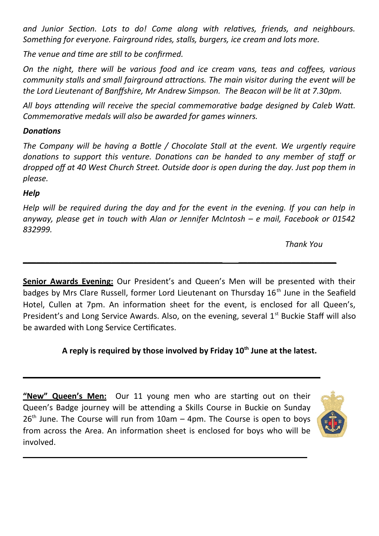*and Junior Section. Lots to do! Come along with relatives, friends, and neighbours. Something for everyone. Fairground rides, stalls, burgers, ice cream and lots more.* 

*The venue and time are still to be confirmed.*

*On the night, there will be various food and ice cream vans, teas and coffees, various community stalls and small fairground attractions. The main visitor during the event will be the Lord Lieutenant of Banffshire, Mr Andrew Simpson. The Beacon will be lit at 7.30pm.* 

*All boys attending will receive the special commemorative badge designed by Caleb Watt. Commemorative medals will also be awarded for games winners.* 

### *Donations*

*The Company will be having a Bottle / Chocolate Stall at the event. We urgently require donations to support this venture. Donations can be handed to any member of staff or dropped off at 40 West Church Street. Outside door is open during the day. Just pop them in please.*

### *Help*

*Help will be required during the day and for the event in the evening. If you can help in anyway, please get in touch with Alan or Jennifer McIntosh – e mail, Facebook or 01542 832999.* 

**\_\_\_\_\_\_\_\_\_\_\_\_\_\_\_\_\_\_\_\_\_\_\_\_\_\_\_\_\_\_\_\_\_\_\_\_\_\_\_\_\_\_\_\_\_ \_\_\_\_\_\_\_\_\_\_\_\_\_\_\_\_\_\_\_\_\_\_**

 *Thank You*

**Senior Awards Evening:** Our President's and Queen's Men will be presented with their badges by Mrs Clare Russell, former Lord Lieutenant on Thursday 16<sup>th</sup> June in the Seafield Hotel, Cullen at 7pm. An information sheet for the event, is enclosed for all Queen's, President's and Long Service Awards. Also, on the evening, several  $1<sup>st</sup>$  Buckie Staff will also be awarded with Long Service Certificates.

### **A reply is required by those involved by Friday 10th June at the latest.**

**"New" Queen's Men:** Our 11 young men who are starting out on their Queen's Badge journey will be attending a Skills Course in Buckie on Sunday  $26<sup>th</sup>$  June. The Course will run from 10am – 4pm. The Course is open to boys from across the Area. An information sheet is enclosed for boys who will be involved.

**\_\_\_\_\_\_\_\_\_\_\_\_\_\_\_\_\_\_\_\_\_\_\_\_\_\_\_\_\_\_\_\_\_\_\_\_\_\_\_\_\_\_\_\_\_\_\_\_\_\_\_\_\_\_\_\_\_\_\_\_\_\_\_\_**

**\_\_\_\_\_\_\_\_\_\_\_\_\_\_\_\_\_\_\_\_\_\_\_\_\_\_\_\_\_\_\_\_\_\_\_\_\_\_\_\_\_\_\_\_\_\_\_\_\_\_\_\_\_\_\_\_\_\_\_\_\_\_\_\_\_\_\_**